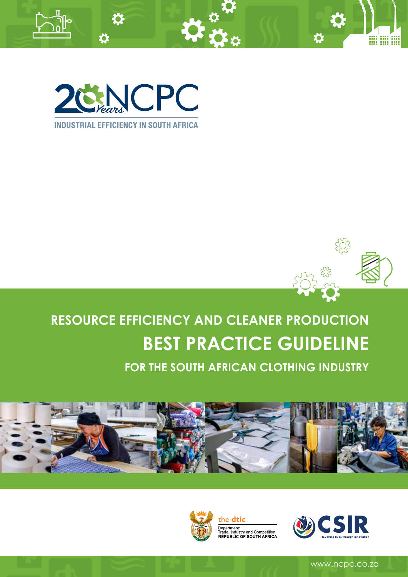

Ö

# **RESOURCE EFFICIENCY AND CLEANER PRODUCTION BEST PRACTICE GUIDELINE FOR THE SOUTH AFRICAN CLOTHING INDUSTRY**







Ö

 $\sum_{i=1}^{n}$ 

m m m

Ö

www.ncpc.co.za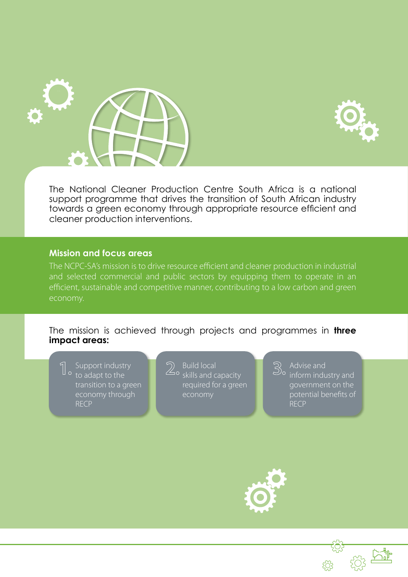



The National Cleaner Production Centre South Africa is a national support programme that drives the transition of South African industry towards a green economy through appropriate resource efficient and cleaner production interventions.

# **Mission and focus areas**

The NCPC-SA's mission is to drive resource efficient and cleaner production in industrial and selected commercial and public sectors by equipping them to operate in an efficient, sustainable and competitive manner, contributing to a low carbon and green economy.

The mission is achieved through projects and programmes in **three impact areas:**

**1.** Support industry<br> **1.** The adapt to the transition to a green economy through RECP

2. Build local<br><sup>2.</sup> skills and capacity required for a green economy

**3.** Advise and inform industry and government on the potential benefits of RECP



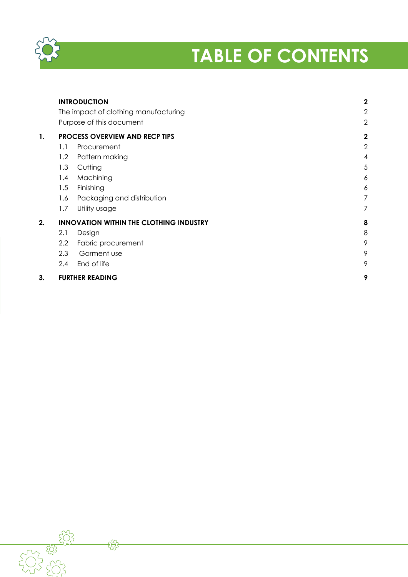

503

**ANTISTICAL** 

स्लैं

# **TABLE OF CONTENTS**

|    |                                                | <b>INTRODUCTION</b>                  | 2 |
|----|------------------------------------------------|--------------------------------------|---|
|    |                                                | The impact of clothing manufacturing | 2 |
|    |                                                | Purpose of this document             | 2 |
| 1. | <b>PROCESS OVERVIEW AND RECP TIPS</b>          |                                      | 2 |
|    | 1.1                                            | Procurement                          | 2 |
|    | 1.2                                            | Pattern making                       | 4 |
|    | 1.3                                            | Cutting                              | 5 |
|    | 1.4                                            | Machining                            | 6 |
|    | 1.5                                            | Finishing                            | 6 |
|    | 1.6                                            | Packaging and distribution           | 7 |
|    | 1.7                                            | Utility usage                        | 7 |
| 2. | <b>INNOVATION WITHIN THE CLOTHING INDUSTRY</b> |                                      | 8 |
|    | 2.1                                            | Design                               | 8 |
|    | 2.2                                            | Fabric procurement                   | 9 |
|    | 2.3                                            | Garment use                          | 9 |
|    | 2.4                                            | End of life                          | 9 |
| 3. | <b>FURTHER READING</b>                         |                                      | 9 |
|    |                                                |                                      |   |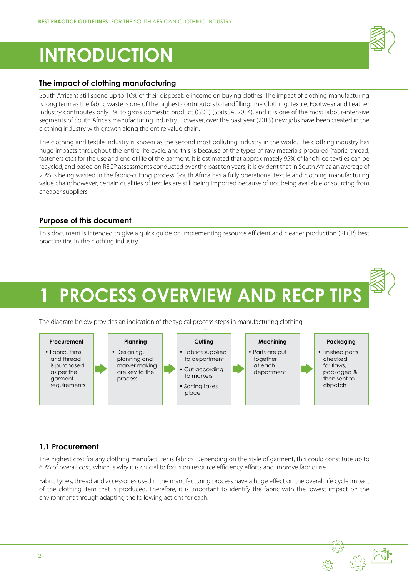# **INTRODUCTION**

#### **The impact of clothing manufacturing**

South Africans still spend up to 10% of their disposable income on buying clothes. The impact of clothing manufacturing is long term as the fabric waste is one of the highest contributors to landfilling. The Clothing, Textile, Footwear and Leather industry contributes only 1% to gross domestic product (GDP) (StatsSA, 2014), and it is one of the most labour-intensive segments of South Africa's manufacturing industry. However, over the past year (2015) new jobs have been created in the clothing industry with growth along the entire value chain.

The clothing and textile industry is known as the second most polluting industry in the world. The clothing industry has huge impacts throughout the entire life cycle, and this is because of the types of raw materials procured (fabric, thread, fasteners etc.) for the use and end of life of the garment. It is estimated that approximately 95% of landfilled textiles can be recycled, and based on RECP assessments conducted over the past ten years, it is evident that in South Africa an average of 20% is being wasted in the fabric-cutting process. South Africa has a fully operational textile and clothing manufacturing value chain; however, certain qualities of textiles are still being imported because of not being available or sourcing from cheaper suppliers.

#### **Purpose of this document**

This document is intended to give a quick guide on implementing resource efficient and cleaner production (RECP) best practice tips in the clothing industry.



The diagram below provides an indication of the typical process steps in manufacturing clothing:



#### **1.1 Procurement**

The highest cost for any clothing manufacturer is fabrics. Depending on the style of garment, this could constitute up to 60% of overall cost, which is why it is crucial to focus on resource efficiency efforts and improve fabric use.

Fabric types, thread and accessories used in the manufacturing process have a huge effect on the overall life cycle impact of the clothing item that is produced. Therefore, it is important to identify the fabric with the lowest impact on the environment through adapting the following actions for each: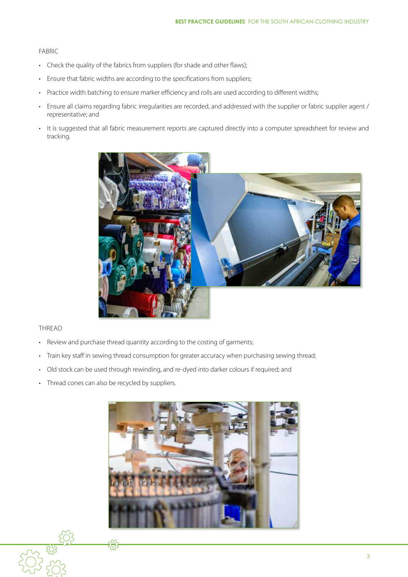#### FABRIC

- Check the quality of the fabrics from suppliers (for shade and other flaws);
- Ensure that fabric widths are according to the specifications from suppliers;
- Practice width batching to ensure marker efficiency and rolls are used according to different widths;
- Ensure all claims regarding fabric irregularities are recorded, and addressed with the supplier or fabric supplier agent / representative; and
- It is suggested that all fabric measurement reports are captured directly into a computer spreadsheet for review and tracking.



#### THREAD

- Review and purchase thread quantity according to the costing of garments;
- Train key staff in sewing thread consumption for greater accuracy when purchasing sewing thread;
- Old stock can be used through rewinding, and re-dyed into darker colours if required; and
- Thread cones can also be recycled by suppliers.

£Ő

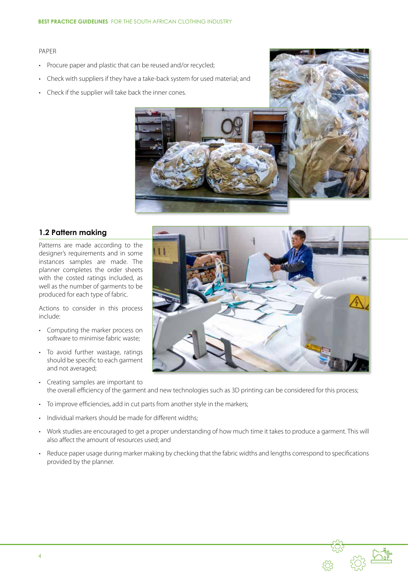#### PAPER

- Procure paper and plastic that can be reused and/or recycled;
- Check with suppliers if they have a take-back system for used material; and
- Check if the supplier will take back the inner cones.





Patterns are made according to the designer's requirements and in some instances samples are made. The planner completes the order sheets with the costed ratings included, as well as the number of garments to be produced for each type of fabric.

- Computing the marker process on software to minimise fabric waste;
- To avoid further wastage, ratings should be specific to each garment and not averaged;
- Creating samples are important to the overall efficiency of the garment and new technologies such as 3D printing can be considered for this process;
- To improve efficiencies, add in cut parts from another style in the markers;
- Individual markers should be made for different widths;
- Work studies are encouraged to get a proper understanding of how much time it takes to produce a garment. This will also affect the amount of resources used; and
- Reduce paper usage during marker making by checking that the fabric widths and lengths correspond to specifications provided by the planner.



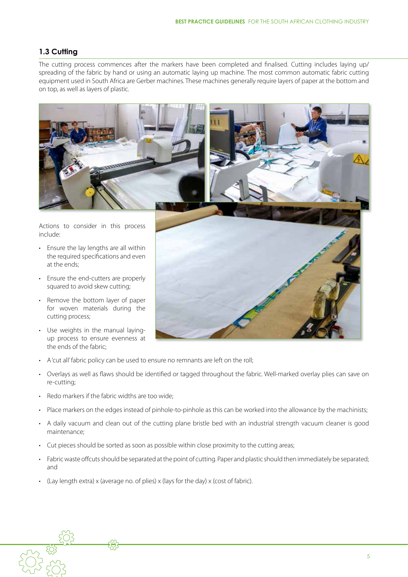## **1.3 Cutting**

The cutting process commences after the markers have been completed and finalised. Cutting includes laying up/ spreading of the fabric by hand or using an automatic laying up machine. The most common automatic fabric cutting equipment used in South Africa are Gerber machines. These machines generally require layers of paper at the bottom and on top, as well as layers of plastic.



- Ensure the lay lengths are all within the required specifications and even at the ends;
- Ensure the end-cutters are properly squared to avoid skew cutting;
- Remove the bottom layer of paper for woven materials during the cutting process;
- Use weights in the manual layingup process to ensure evenness at the ends of the fabric;
- A 'cut all' fabric policy can be used to ensure no remnants are left on the roll;
- Overlays as well as flaws should be identified or tagged throughout the fabric. Well-marked overlay plies can save on re-cutting;
- Redo markers if the fabric widths are too wide;
- Place markers on the edges instead of pinhole-to-pinhole as this can be worked into the allowance by the machinists;
- A daily vacuum and clean out of the cutting plane bristle bed with an industrial strength vacuum cleaner is good maintenance;
- Cut pieces should be sorted as soon as possible within close proximity to the cutting areas;
- Fabric waste offcuts should be separated at the point of cutting. Paper and plastic should then immediately be separated; and
- (Lay length extra) x (average no. of plies) x (lays for the day) x (cost of fabric).

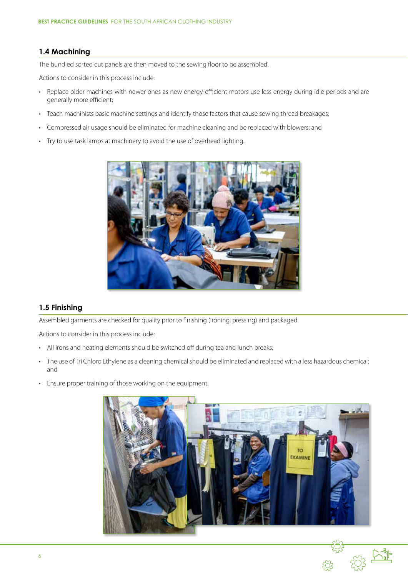### **1.4 Machining**

The bundled sorted cut panels are then moved to the sewing floor to be assembled.

Actions to consider in this process include:

- Replace older machines with newer ones as new energy-efficient motors use less energy during idle periods and are generally more efficient;
- Teach machinists basic machine settings and identify those factors that cause sewing thread breakages;
- Compressed air usage should be eliminated for machine cleaning and be replaced with blowers; and
- Try to use task lamps at machinery to avoid the use of overhead lighting.



### **1.5 Finishing**

Assembled garments are checked for quality prior to finishing (ironing, pressing) and packaged.

- All irons and heating elements should be switched off during tea and lunch breaks;
- The use of Tri Chloro Ethylene as a cleaning chemical should be eliminated and replaced with a less hazardous chemical; and
- Ensure proper training of those working on the equipment.



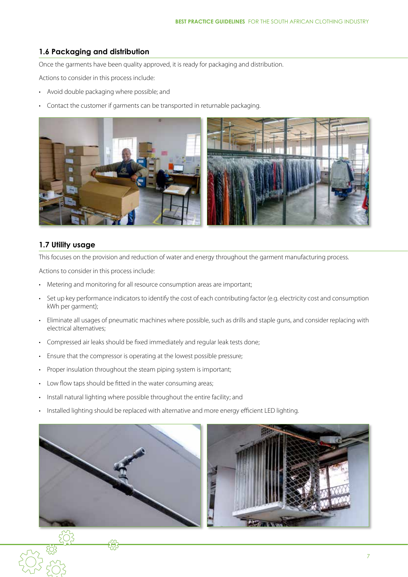### **1.6 Packaging and distribution**

Once the garments have been quality approved, it is ready for packaging and distribution.

Actions to consider in this process include:

- Avoid double packaging where possible; and
- Contact the customer if garments can be transported in returnable packaging.



### **1.7 Utility usage**

This focuses on the provision and reduction of water and energy throughout the garment manufacturing process.

- Metering and monitoring for all resource consumption areas are important;
- Set up key performance indicators to identify the cost of each contributing factor (e.g. electricity cost and consumption kWh per garment);
- Eliminate all usages of pneumatic machines where possible, such as drills and staple guns, and consider replacing with electrical alternatives;
- Compressed air leaks should be fixed immediately and regular leak tests done;
- Ensure that the compressor is operating at the lowest possible pressure;
- Proper insulation throughout the steam piping system is important;
- Low flow taps should be fitted in the water consuming areas;
- Install natural lighting where possible throughout the entire facility; and
- Installed lighting should be replaced with alternative and more energy efficient LED lighting.



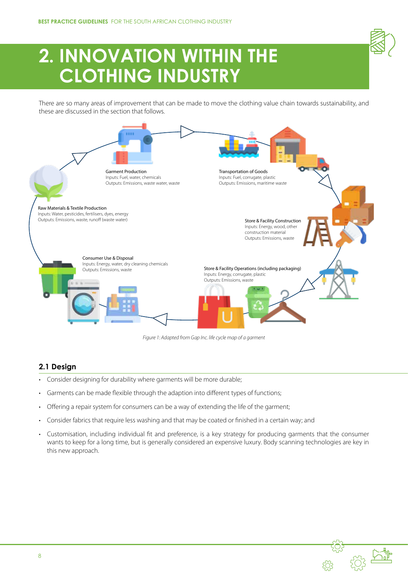# **2. INNOVATION WITHIN THE CLOTHING INDUSTRY**

There are so many areas of improvement that can be made to move the clothing value chain towards sustainability, and these are discussed in the section that follows.



*Figure 1: Adapted from Gap Inc. life cycle map of a garment*

# **2.1 Design**

- Consider designing for durability where garments will be more durable;
- Garments can be made flexible through the adaption into different types of functions;
- Offering a repair system for consumers can be a way of extending the life of the garment;
- Consider fabrics that require less washing and that may be coated or finished in a certain way; and
- Customisation, including individual fit and preference, is a key strategy for producing garments that the consumer wants to keep for a long time, but is generally considered an expensive luxury. Body scanning technologies are key in this new approach.

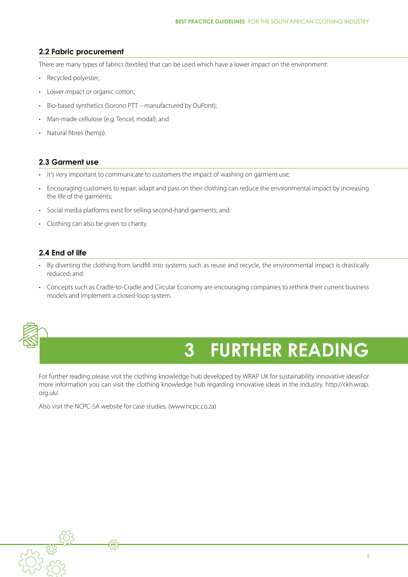### **2.2 Fabric procurement**

There are many types of fabrics (textiles) that can be used which have a lower impact on the environment:

- Recycled polyester;
- Lower impact or organic cotton;
- Bio-based synthetics (Sorono PTT manufactured by DuPont);
- Man-made cellulose (e.g. Tencel, modal); and
- Natural fibres (hemp).

#### **2.3 Garment use**

- It's very important to communicate to customers the impact of washing on garment use;
- Encouraging customers to repair, adapt and pass on their clothing can reduce the environmental impact by increasing the life of the garments;
- Social media platforms exist for selling second-hand garments; and
- Clothing can also be given to charity.

### **2.4 End of life**

- By diverting the clothing from landfill into systems such as reuse and recycle, the environmental impact is drastically reduced; and
- Concepts such as Cradle-to-Cradle and Circular Economy are encouraging companies to rethink their current business models and implement a closed-loop system.





For further reading please visit the clothing knowledge hub developed by WRAP UK for sustainability innovative ideasFor more information you can visit the clothing knowledge hub regarding innovative ideas in the industry. http://ckh.wrap. org.uk/.

Also visit the NCPC-SA website for case studies. (www.ncpc.co.za)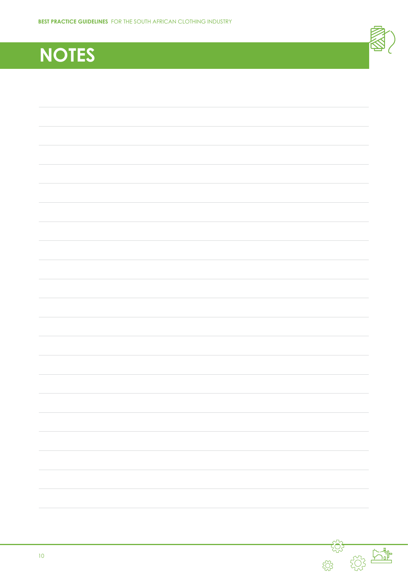# **NOTES**





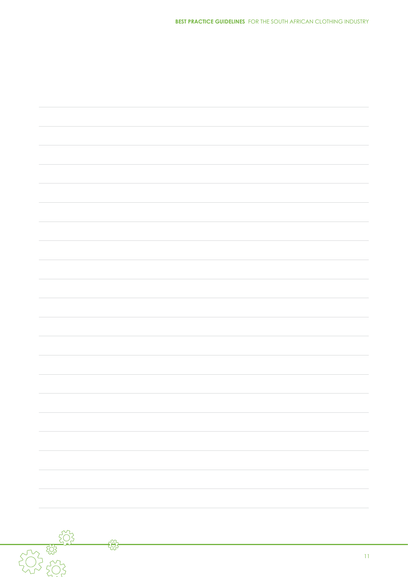